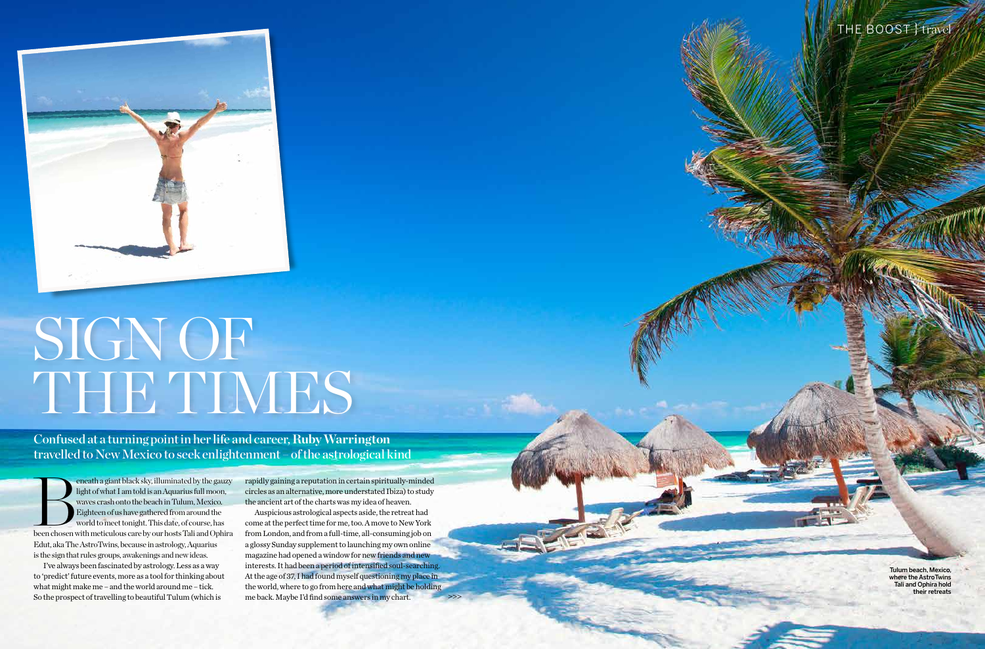

## SIGN OF THE TIMES

Confused at a turning point in her life and career, **Ruby Warrington**  travelled to New Mexico to seek enlightenment – of the astrological kind

Taking time out in the is the sign that rules groups, awakenings and new ideas. eneath a giant black sky, illuminated by the gauzy light of what I am told is an Aquarius full moon, waves crash onto the beach in Tulum, Mexico. Eighteen of us have gathered from around the world to meet tonight. This dat light of what I am told is an Aquarius full moon, waves crash onto the beach in Tulum, Mexico. Eighteen of us have gathered from around the world to meet tonight. This date, of course, has Edut, aka The AstroTwins, because in astrology, Aquarius

I've always been fascinated by astrology. Less as a way  $\overline{a}$ to 'predict' future events, more as a tool for thinking about what might make me – and the world around me – tick. So the prospect of travelling to beautiful Tulum (which is

what might make me – and the world around me – tick. The world, where to go from here and what might be holding and policy of the world, where to go from here and what might be holding and policy of the world, where to go Auspicious astrological aspects aside, the retreat had come at the perfect time for me, too. A move to New York from London, and from a full-time, all-consuming job on a glossy Sunday supplement to launching my own online magazine had opened a window for new friends and new interests. It had been a period of intensified soul-searching. At the age of 37, I had found myself questioning my place in me back. Maybe I'd find some answers in my chart.

134 PSYCHOLOGIES MAGAZINE MAGAZINE MAGAZINE MAGAZINE MAGAZINE MAGAZINE MAGAZINE 135 PSYCHOLOGIES MAGAZINE 135

## THE BOOST } travel

Tulum beach, Mexico, where the AstroTwins Tali and Ophira hold their retreats

rapidly gaining a reputation in certain spiritually-minded circles as an alternative, more understated Ibiza) to study the ancient art of the charts was my idea of heaven.